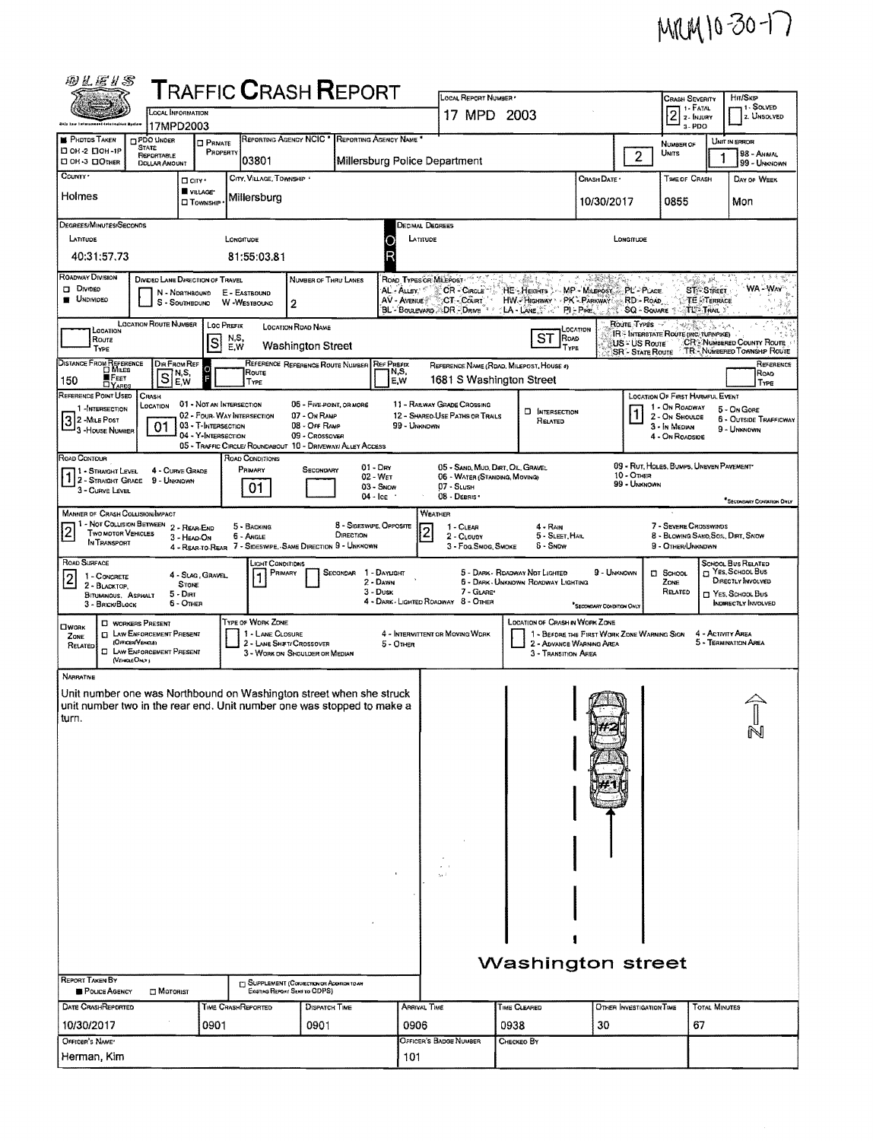## MRM 10-30-17

| 砂瓦运り器                                                                                                                                                                                                                                                                                                                                                                                                                                                         |                                                                                                                                                                                           |                                                              | <b>TRAFFIC CRASH REPORT</b>                                                               |                                                             |                                      |                                  | LOCAL REPORT NUMBER                                         |                                                              |                                                                         |                                          | <b>CRASH SEVERITY</b>                                                            |                            | HIT/SKIP                                                        |  |
|---------------------------------------------------------------------------------------------------------------------------------------------------------------------------------------------------------------------------------------------------------------------------------------------------------------------------------------------------------------------------------------------------------------------------------------------------------------|-------------------------------------------------------------------------------------------------------------------------------------------------------------------------------------------|--------------------------------------------------------------|-------------------------------------------------------------------------------------------|-------------------------------------------------------------|--------------------------------------|----------------------------------|-------------------------------------------------------------|--------------------------------------------------------------|-------------------------------------------------------------------------|------------------------------------------|----------------------------------------------------------------------------------|----------------------------|-----------------------------------------------------------------|--|
| this taw tofarasmani toluringilan Nyalon                                                                                                                                                                                                                                                                                                                                                                                                                      |                                                                                                                                                                                           | LOCAL INFORMATION<br>17MPD2003                               |                                                                                           |                                                             |                                      |                                  |                                                             | 17 MPD 2003                                                  |                                                                         |                                          |                                                                                  | $2$ :- FATAL<br>s-PDO      | 1-SOLVED<br>2. Unsolved                                         |  |
| <b>PHOTOS TAKEN</b><br>□ он-2 □ ОН-1Р                                                                                                                                                                                                                                                                                                                                                                                                                         | PDO UNDER<br>STATE                                                                                                                                                                        | $\square$ Private                                            |                                                                                           | REPORTING AGENCY NCIC * REPORTING AGENCY NAME *             |                                      |                                  |                                                             |                                                              |                                                                         |                                          | NUMBER OF                                                                        |                            | UNIT IN ERROR                                                   |  |
| □ ОН-3 □ ОТНЕВ                                                                                                                                                                                                                                                                                                                                                                                                                                                | PROPERTY<br><b>REPORTABLE</b><br>03801<br>Millersburg Police Department<br><b>DOLLAR AMOUNT</b>                                                                                           |                                                              |                                                                                           |                                                             |                                      |                                  |                                                             |                                                              | $\overline{c}$                                                          | Units                                    |                                                                                  | 98 - ANMAL<br>99 - UNKNOWN |                                                                 |  |
| COUNTY '<br>CITY, VILLAGE, TOWNSHIP .<br>$\Box$ City $\cdot$                                                                                                                                                                                                                                                                                                                                                                                                  |                                                                                                                                                                                           |                                                              |                                                                                           |                                                             |                                      |                                  |                                                             | CRASH DATE *                                                 |                                                                         | <b>TIME OF CRASH</b>                     |                                                                                  | DAY OF WEEK                |                                                                 |  |
| VILLAGE*<br>Holmes<br>Millersburg<br><b>CI</b> TOWNSHIP                                                                                                                                                                                                                                                                                                                                                                                                       |                                                                                                                                                                                           |                                                              |                                                                                           |                                                             |                                      |                                  |                                                             | 10/30/2017                                                   | 0855                                                                    |                                          | Mon                                                                              |                            |                                                                 |  |
| DEGREES/MINUTES/SECONDS                                                                                                                                                                                                                                                                                                                                                                                                                                       |                                                                                                                                                                                           |                                                              |                                                                                           |                                                             |                                      |                                  | Decimal Degrees                                             |                                                              |                                                                         |                                          |                                                                                  |                            |                                                                 |  |
| LATITUDE<br>LATITUDE<br>LONGITUDE<br>LONGTUDE                                                                                                                                                                                                                                                                                                                                                                                                                 |                                                                                                                                                                                           |                                                              |                                                                                           |                                                             |                                      |                                  |                                                             |                                                              |                                                                         |                                          |                                                                                  |                            |                                                                 |  |
| R<br>40:31:57.73<br>81:55:03.81                                                                                                                                                                                                                                                                                                                                                                                                                               |                                                                                                                                                                                           |                                                              |                                                                                           |                                                             |                                      |                                  |                                                             |                                                              |                                                                         |                                          |                                                                                  |                            |                                                                 |  |
| <b>ROADWAY DIVISION</b><br>. 4494<br><b>DIVIDED LANE DIRECTION OF TRAVEL</b><br>ROAD TYPES OR MILEPOST<br>蟲類<br>ville si së<br>NUMBER OF THRU LANES<br>USS.<br>D Divideo<br>ST - STREET<br>AL - Auev.<br>CR - Cincus<br>HE - HEIGHTS : MP - MILEPOST<br>PL'-PLACE<br>S.<br>N - NDRTHBOUND<br>E - EASTBOUND<br><b>UNDIVIDED</b><br>AV - AVENUE<br>CT - COURT<br>HW-HIGHWAY PK-PARKWAY<br>RD - Roap<br><b>TE STERRACE</b><br>S - SOUTHBOUND<br>W-WESTBOUND<br>2 |                                                                                                                                                                                           |                                                              |                                                                                           |                                                             |                                      |                                  |                                                             |                                                              |                                                                         | WA-WAY                                   |                                                                                  |                            |                                                                 |  |
|                                                                                                                                                                                                                                                                                                                                                                                                                                                               | BL - BOULEVARD - DR - DRIVE<br>TL-TRAIL Y<br>$1-A$ -LANE<br>PI-Pike.<br><b>SQ - SQUARE</b><br><b>LOCATION ROUTE NUMBER</b><br>Route Types<br>LOC PREFIX<br>LOCATION ROAD NAME<br>LOCATION |                                                              |                                                                                           |                                                             |                                      |                                  |                                                             |                                                              |                                                                         |                                          |                                                                                  |                            |                                                                 |  |
| LOCATION<br>Route<br>TYPE                                                                                                                                                                                                                                                                                                                                                                                                                                     |                                                                                                                                                                                           | S                                                            | N,S,<br>E.W                                                                               | <b>Washington Street</b>                                    |                                      |                                  |                                                             | ST<br>ROAD<br>TYPE                                           |                                                                         | US - US Route<br><b>SR - STATE ROUTE</b> | <b>IR - INTERSTATE ROUTE (INC. TURNPIKE)</b>                                     |                            | <b>CR: NUMBERED COUNTY ROUTE</b><br>TR: NUMBERED TOWNSHIP ROUTE |  |
| DISTANCE FROM REPERENCE<br>FEET<br>150<br>$\square$ YARDS                                                                                                                                                                                                                                                                                                                                                                                                     | $\overline{\mathbf{s}}$                                                                                                                                                                   | Dir From Ref<br>Ω<br>N,S,<br>E,W<br>E                        | Roure<br>TYPE                                                                             | REFERENCE REFERENCE ROUTE NUMBER                            |                                      | <b>REF PREFIX</b><br>N,S,<br>E.W | 1681 S Washington Street                                    | REFERENCE NAME (ROAD, MILEPOST, HOUSE 4)                     |                                                                         |                                          |                                                                                  |                            | REFERENCE<br>ROAD<br>TYPE                                       |  |
| REFERENCE POINT USED<br>1 -INTERSECTION                                                                                                                                                                                                                                                                                                                                                                                                                       | CRASH<br>LOCATION                                                                                                                                                                         | 01 - NOT AN INTERSECTION                                     |                                                                                           | 06 - FIVE POINT, OR MORE                                    |                                      |                                  | 11 - RAILWAY GRADE CROSSING                                 | <b>D</b> INTERSECTION                                        |                                                                         |                                          | <b>LOCATION OF FIRST HARMFUL EVENT</b><br>1 - On ROADWAY                         |                            | 5 - On Gore                                                     |  |
| 3 2 - MILE POST<br>3 - House Number                                                                                                                                                                                                                                                                                                                                                                                                                           | 01                                                                                                                                                                                        | 03 - T-INTERSECTION<br>04 - Y-INTERSECTION                   | 02 - FOUR-WAY INTERSECTION<br>05 - TRAFFIC CIRCLE/ ROUNDABOUT 10 - DRIVEWAY/ ALLEY ACCESS | 07 - On RAMP<br>08 - OFF RAMP<br>09 - Crossover             |                                      | 99 - UNKNOWN                     | 12 - SHAREO-USE PATHS OR TRAILS                             | RELATED                                                      |                                                                         |                                          | 2 - On Shoulde<br>3 - In MEDIAN<br>4 - On Roadside                               |                            | 6 - OUTSIDE TRAFFICWAY<br>9 - UNKNOWN                           |  |
| ROAD CONTOUR<br>1 - STRAIGHT LEVEL                                                                                                                                                                                                                                                                                                                                                                                                                            |                                                                                                                                                                                           | 4 - CURVE GRADE                                              | <b>ROAD CONDITIONS</b><br>PRIMARY                                                         | Secondary                                                   |                                      | $01 - Drr$                       | 05 - SAND, MUD, DIRT, OIL, GRAVEL                           |                                                              |                                                                         |                                          | 09 - RUT, HOLES, BUMPS, UNEVEN PAVEMENT                                          |                            |                                                                 |  |
| 1 2 - STRAIGHT GRADE 9 - UNKNOWN<br>3 - CURVE LEVEL                                                                                                                                                                                                                                                                                                                                                                                                           |                                                                                                                                                                                           |                                                              | 01                                                                                        |                                                             |                                      | 02 - WET<br>$03 -$ SNOW          | 06 - WATER (STANDING, MOVING)<br>07 - SLush                 |                                                              |                                                                         | 10 - OTHER<br>99 - UNKNOWN               |                                                                                  |                            |                                                                 |  |
|                                                                                                                                                                                                                                                                                                                                                                                                                                                               |                                                                                                                                                                                           |                                                              |                                                                                           |                                                             |                                      | 04 - Ice                         | 08 - DEBRIS                                                 |                                                              |                                                                         |                                          |                                                                                  |                            | *Secondary Condition Only                                       |  |
| <b>MANNER OF CRASH COLLISION/IMPACT</b><br>1 - Not Collision Between<br>$\overline{2}$<br><b>TWO MOTOR VEHICLES</b><br>IN TRANSPORT                                                                                                                                                                                                                                                                                                                           |                                                                                                                                                                                           | 2 - REAR-END<br>3 - HEAD-ON                                  | 5 - BACKING<br>6 - Angle<br>4 - REAR-TO-REAR 7 - SIDESWIPE, SAME DIRECTION 9 - UNKNOWN    |                                                             | 8 - Sideswipe, Opposite<br>DIRECTION | $\overline{c}$                   | WEATHER<br>$1 - CLEAR$<br>2 - CLOUDY<br>3 - Fog.Smog. Smoke | $4 - R$ AIN<br>5 - Sleet, Hail<br>5 - Snow                   |                                                                         |                                          | 7 - SEVERE CROSSWINDS<br>8 - BLOWING SAND, SOIL, DIRT, SNOW<br>9 - OTHER/UNKNDWN |                            |                                                                 |  |
| ROAD SURFACE                                                                                                                                                                                                                                                                                                                                                                                                                                                  |                                                                                                                                                                                           |                                                              | LIGHT CONDITIONS                                                                          | PRIMARY                                                     | SECONDAR                             | 1 - DAYLIGHT                     |                                                             | 5 - DARK - ROADWAY NOT LIGHTED                               | 9 - UNKNOWN                                                             |                                          | $\Box$ SCHOOL                                                                    |                            | <b>SCHOOL BUS RELATED</b><br><sup>2</sup> Yes, School Bus       |  |
| 1 - CONCRETE<br> 2 <br>2 - BLACKTOP,<br><b>BITUMINOUS, ASPHALT</b><br>3 - BRICK/BLOCK                                                                                                                                                                                                                                                                                                                                                                         |                                                                                                                                                                                           | 4 - SLAG, GRAVEL,<br><b>STONE</b><br>$5 -$ DIRT<br>6 - OTHER |                                                                                           |                                                             |                                      | 2 - DAWN<br>3 - Dusk             | 7 - GLARE*<br>4 - DARK - LIGHTED ROADWAY 8 - OTHER          | 6 - Dark Unknown Roadway Lighting                            | <sup>*</sup> SECOMDARY CONDITION ONLY                                   |                                          | ZONE<br>RELATED                                                                  |                            | DIRECTLY INVOLVED<br>YES, SCHOOL BUS<br>INDIRECTLY INVOLVED     |  |
| $\square$ work<br>ZONE<br>RELATED                                                                                                                                                                                                                                                                                                                                                                                                                             | <b>C WORKERS PRESENT</b><br><b>CI LAW ENFORCEMENT PRESENT</b><br>(OFFICER/VENCLE)<br><b>D</b> LAW ENFORCEMENT PRESENT<br>(VIHALEOMY)                                                      |                                                              | TYPE OF WORK ZONE<br>1 - LANE CLOSURE                                                     | 2 - LANE SHIFT/ CROSSOVER<br>3 - WORK ON SHOULDER OR MEDIAN |                                      | 5 - OTHER                        | 4 - INTERMITTENT OR MOVING WORK                             | <b>LOCATION OF CRASH IN WORK ZONE</b><br>3 - TRANSITION AREA | 1 - BEFORE THE FIRST WORK ZONE WARNING SIGN<br>2 - ADVANCE WARNING AREA |                                          |                                                                                  | 4 - ACTIVITY AREA          | 5 - TERMINATION AREA                                            |  |
| <b>NARRATIVE</b>                                                                                                                                                                                                                                                                                                                                                                                                                                              |                                                                                                                                                                                           |                                                              |                                                                                           |                                                             |                                      |                                  |                                                             |                                                              |                                                                         |                                          |                                                                                  |                            |                                                                 |  |
| Unit number one was Northbound on Washington street when she struck<br>unit number two in the rear end. Unit number one was stopped to make a<br>turn.<br>IJ<br>N                                                                                                                                                                                                                                                                                             |                                                                                                                                                                                           |                                                              |                                                                                           |                                                             |                                      |                                  |                                                             |                                                              |                                                                         |                                          |                                                                                  |                            |                                                                 |  |
|                                                                                                                                                                                                                                                                                                                                                                                                                                                               |                                                                                                                                                                                           |                                                              |                                                                                           |                                                             |                                      |                                  |                                                             |                                                              |                                                                         |                                          |                                                                                  |                            |                                                                 |  |
|                                                                                                                                                                                                                                                                                                                                                                                                                                                               |                                                                                                                                                                                           |                                                              |                                                                                           |                                                             |                                      |                                  |                                                             |                                                              |                                                                         |                                          |                                                                                  |                            |                                                                 |  |
|                                                                                                                                                                                                                                                                                                                                                                                                                                                               |                                                                                                                                                                                           |                                                              |                                                                                           |                                                             |                                      |                                  |                                                             |                                                              |                                                                         |                                          |                                                                                  |                            |                                                                 |  |
|                                                                                                                                                                                                                                                                                                                                                                                                                                                               |                                                                                                                                                                                           |                                                              |                                                                                           |                                                             |                                      |                                  |                                                             |                                                              |                                                                         |                                          |                                                                                  |                            |                                                                 |  |
|                                                                                                                                                                                                                                                                                                                                                                                                                                                               |                                                                                                                                                                                           |                                                              |                                                                                           |                                                             |                                      |                                  |                                                             |                                                              |                                                                         |                                          |                                                                                  |                            |                                                                 |  |
|                                                                                                                                                                                                                                                                                                                                                                                                                                                               |                                                                                                                                                                                           |                                                              |                                                                                           |                                                             |                                      |                                  |                                                             |                                                              |                                                                         |                                          |                                                                                  |                            |                                                                 |  |
|                                                                                                                                                                                                                                                                                                                                                                                                                                                               |                                                                                                                                                                                           |                                                              |                                                                                           |                                                             |                                      |                                  |                                                             |                                                              |                                                                         |                                          |                                                                                  |                            |                                                                 |  |
|                                                                                                                                                                                                                                                                                                                                                                                                                                                               |                                                                                                                                                                                           |                                                              |                                                                                           |                                                             |                                      |                                  |                                                             |                                                              |                                                                         |                                          |                                                                                  |                            |                                                                 |  |
| <b>Washington street</b>                                                                                                                                                                                                                                                                                                                                                                                                                                      |                                                                                                                                                                                           |                                                              |                                                                                           |                                                             |                                      |                                  |                                                             |                                                              |                                                                         |                                          |                                                                                  |                            |                                                                 |  |
| REPORT TAKEN BY                                                                                                                                                                                                                                                                                                                                                                                                                                               |                                                                                                                                                                                           |                                                              |                                                                                           | SUPPLEMENT (CORRECTION OR ADDITION TO AN                    |                                      |                                  |                                                             |                                                              |                                                                         |                                          |                                                                                  |                            |                                                                 |  |
| POLICE AGENCY<br>DATE CRASHREPORTED                                                                                                                                                                                                                                                                                                                                                                                                                           | $\square$ Motorist                                                                                                                                                                        |                                                              | <b>TIME CRASHREPORTED</b>                                                                 | Existing Report Sent to CDPS)<br>DISPATCH TIME              |                                      | Arrival Time                     |                                                             | TIME CLEARED                                                 |                                                                         | OTHER INVESTIGATION TIME                 |                                                                                  | <b>TOTAL MINUTES</b>       |                                                                 |  |
| 10/30/2017                                                                                                                                                                                                                                                                                                                                                                                                                                                    |                                                                                                                                                                                           | 0901                                                         |                                                                                           | 0901                                                        |                                      | 0906                             |                                                             | 0938                                                         | 30                                                                      |                                          | 67                                                                               |                            |                                                                 |  |
| OFFICER'S NAME'                                                                                                                                                                                                                                                                                                                                                                                                                                               |                                                                                                                                                                                           |                                                              |                                                                                           |                                                             |                                      |                                  | OFFICER'S BADGE NUMBER                                      | Снескео Вт                                                   |                                                                         |                                          |                                                                                  |                            |                                                                 |  |
| Herman, Kim                                                                                                                                                                                                                                                                                                                                                                                                                                                   |                                                                                                                                                                                           |                                                              |                                                                                           |                                                             |                                      |                                  |                                                             |                                                              |                                                                         |                                          |                                                                                  |                            |                                                                 |  |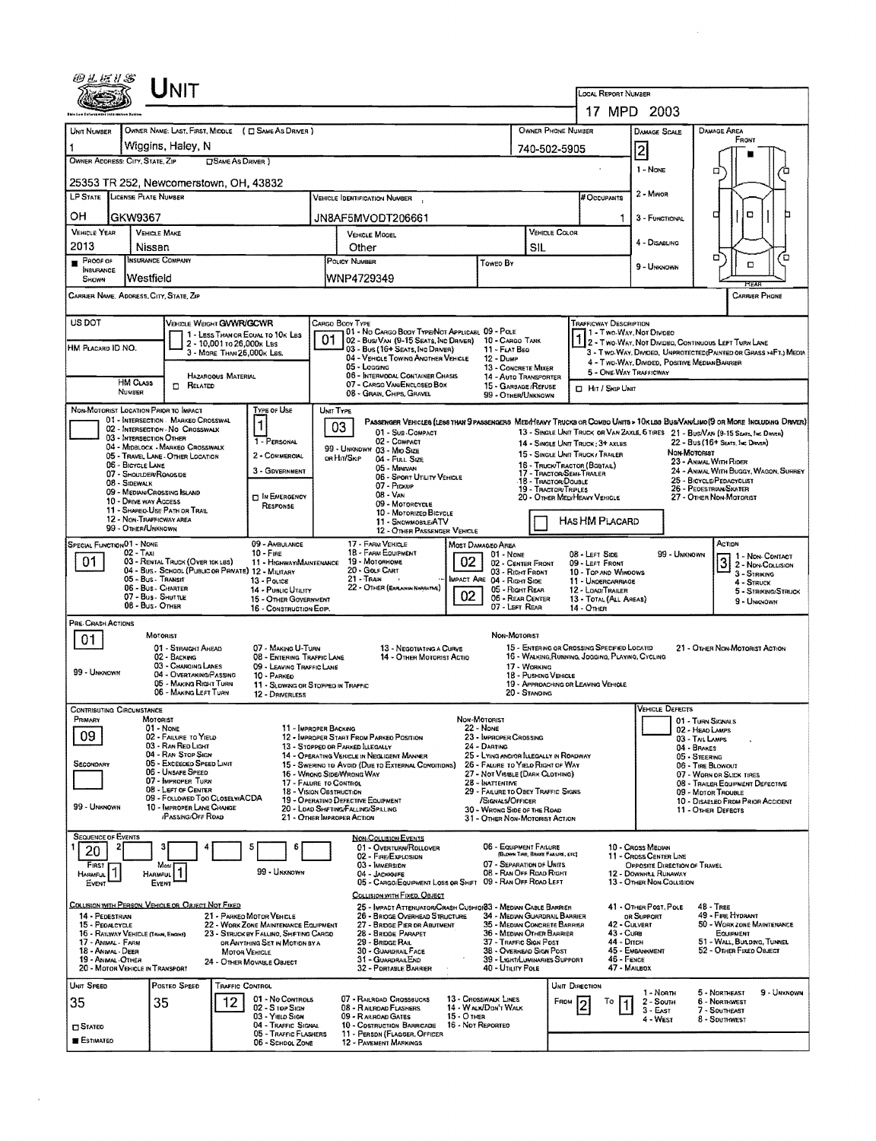|                                                                                                                                                                                                                                                            | Unit                                                                                                                                                  |                                                                                |                                                                                                                               |                                              |                                                 |                                                                       |                                                           |                                                                                                                                             |                                                                |                                                                                                                                                                                                                       |  |  |  |
|------------------------------------------------------------------------------------------------------------------------------------------------------------------------------------------------------------------------------------------------------------|-------------------------------------------------------------------------------------------------------------------------------------------------------|--------------------------------------------------------------------------------|-------------------------------------------------------------------------------------------------------------------------------|----------------------------------------------|-------------------------------------------------|-----------------------------------------------------------------------|-----------------------------------------------------------|---------------------------------------------------------------------------------------------------------------------------------------------|----------------------------------------------------------------|-----------------------------------------------------------------------------------------------------------------------------------------------------------------------------------------------------------------------|--|--|--|
|                                                                                                                                                                                                                                                            |                                                                                                                                                       | <b>LOCAL REPORT NUMBER</b><br>17 MPD 2003                                      |                                                                                                                               |                                              |                                                 |                                                                       |                                                           |                                                                                                                                             |                                                                |                                                                                                                                                                                                                       |  |  |  |
| UNIT NUMBER                                                                                                                                                                                                                                                | OWNER NAME: LAST, FIRST, MIDDLE ( C SAME AS DRIVER )                                                                                                  |                                                                                |                                                                                                                               |                                              |                                                 | OWNER PHONE NUMBER                                                    |                                                           |                                                                                                                                             |                                                                |                                                                                                                                                                                                                       |  |  |  |
|                                                                                                                                                                                                                                                            | Wiggins, Haley, N                                                                                                                                     |                                                                                |                                                                                                                               | 740-502-5905                                 |                                                 | Damage Area<br><b>DAMAGE SCALE</b><br>FRONT                           |                                                           |                                                                                                                                             |                                                                |                                                                                                                                                                                                                       |  |  |  |
| OWNER ADDRESS: CITY, STATE, ZIP                                                                                                                                                                                                                            | SAME AS DRIVER )                                                                                                                                      | $\overline{2}$<br>1 - NONE                                                     |                                                                                                                               |                                              |                                                 |                                                                       |                                                           |                                                                                                                                             |                                                                |                                                                                                                                                                                                                       |  |  |  |
| α<br>25353 TR 252, Newcomerstown, OH, 43832<br>VEHICLE IDENTIFICATION NUMBER .                                                                                                                                                                             |                                                                                                                                                       |                                                                                |                                                                                                                               |                                              |                                                 |                                                                       |                                                           |                                                                                                                                             |                                                                |                                                                                                                                                                                                                       |  |  |  |
| LP STATE LICENSE PLATE NUMBER                                                                                                                                                                                                                              |                                                                                                                                                       | # Occupants                                                                    | 2 - Minon                                                                                                                     |                                              |                                                 |                                                                       |                                                           |                                                                                                                                             |                                                                |                                                                                                                                                                                                                       |  |  |  |
| он<br>GKW9367                                                                                                                                                                                                                                              |                                                                                                                                                       |                                                                                | JN8AF5MVODT206661                                                                                                             |                                              |                                                 |                                                                       |                                                           | 3 - FUNCTIONAL                                                                                                                              | о                                                              | $\Box$                                                                                                                                                                                                                |  |  |  |
| <b>VEHICLE YEAR</b><br>2013                                                                                                                                                                                                                                | <b>VEHICLE MAKE</b><br>Nissan                                                                                                                         |                                                                                | VEHICLE MOOEL<br>Other                                                                                                        |                                              |                                                 | VEHICLE COLOR<br>SIL                                                  |                                                           | 4 - DISABLING                                                                                                                               |                                                                |                                                                                                                                                                                                                       |  |  |  |
| $P$ ROOF OF<br><b>INSURANCE</b>                                                                                                                                                                                                                            | <b>INSURANCE COMPANY</b>                                                                                                                              |                                                                                | POLICY NUMBER                                                                                                                 |                                              | Toweo By                                        |                                                                       |                                                           | 9 - UNKNOWN                                                                                                                                 | Ω                                                              | Έ<br>□                                                                                                                                                                                                                |  |  |  |
| <b>SHOWN</b>                                                                                                                                                                                                                                               | Westfield                                                                                                                                             |                                                                                | WNP4729349                                                                                                                    |                                              |                                                 |                                                                       |                                                           |                                                                                                                                             |                                                                |                                                                                                                                                                                                                       |  |  |  |
| CARRIER NAME, ADDRESS, CITY, STATE, ZIP                                                                                                                                                                                                                    |                                                                                                                                                       |                                                                                |                                                                                                                               |                                              |                                                 |                                                                       |                                                           |                                                                                                                                             |                                                                | CARRIER PHONE                                                                                                                                                                                                         |  |  |  |
| US DOT                                                                                                                                                                                                                                                     | VEHICLE WEIGHT GWWR/GCWR                                                                                                                              |                                                                                | CARGO BOOY TYPE<br>01 - No CARGO BODY TYPE/NOT APPLICABL 09 - POLE                                                            |                                              |                                                 |                                                                       | Trafficway Description<br>1 - Two-Way, Not Divideo        |                                                                                                                                             |                                                                |                                                                                                                                                                                                                       |  |  |  |
| HM PLACARD ID NO.                                                                                                                                                                                                                                          | 2 - 10,001 то 26,000к LBs<br>3 - MORE THAN 26,000K LBS.                                                                                               | 1 - LESS THAN OR EQUAL TO 10K LBS                                              | 01<br>02 - Bus/Van (9-15 Seats, Inc Driver)<br>03 - Bus (16+ Seats, Inc Driver)                                               |                                              | 10 - CARGO TANK<br>11 - FLAT BEO                |                                                                       |                                                           | 2 - Two-WAY, NOT DIVIDEO, CONTINUOUS LEFT TURN LANE                                                                                         |                                                                |                                                                                                                                                                                                                       |  |  |  |
|                                                                                                                                                                                                                                                            |                                                                                                                                                       |                                                                                | 04 - VEHICLE TOWING ANOTHER VEHICLE<br>05 - Loccing                                                                           |                                              | 12 - Dump<br>13 - CONCRETE MIXER                |                                                                       |                                                           | 3 - Two-Way, Divideo, UNPROTECTED (PAINTED OR GRASS >4FT.) MEDIA<br>4 - Two-Way, Divided, Positive Median Barrier<br>5 - ONE-WAY TRAFFICWAY |                                                                |                                                                                                                                                                                                                       |  |  |  |
| <b>HM CLASS</b><br>NUMBER                                                                                                                                                                                                                                  | <b>HAZAROOUS MATERIAL</b><br>0<br>RELATED                                                                                                             |                                                                                | 06 - INTERMODAL CONTAINER CHASIS<br>07 - CARGO VAN ENGLOSED BOX                                                               | 14 - AUTO TRANSPORTER<br>15 - GARBAGE/REFUSE |                                                 | <b>D</b> Hit / Skip UNIT                                              |                                                           |                                                                                                                                             |                                                                |                                                                                                                                                                                                                       |  |  |  |
| NON-MOTORIST LOCATION PRIOR TO IMPACT                                                                                                                                                                                                                      |                                                                                                                                                       | <b>TYPE OF USE</b>                                                             | 08 - GRAIN, CHIPS, GRAVEL<br>UNIT TYPE                                                                                        |                                              | 99 - OTHER/UNKNOWN                              |                                                                       |                                                           |                                                                                                                                             |                                                                |                                                                                                                                                                                                                       |  |  |  |
|                                                                                                                                                                                                                                                            | 01 - INTERSECTION MARKEO CROSSWAL<br>02 - INTERSECTION - NO CROSSWALK                                                                                 | 1                                                                              | 03<br>01 - Sub-COMPACT                                                                                                        |                                              |                                                 |                                                                       |                                                           |                                                                                                                                             |                                                                | PASSENGER VEHICLES (LESS THAN 9 PASSENGERS MEDIMEAVY TRUCKS OR COMBO UNITS > 10 K LBS BUSIVAN/LIMO (9 OR MORE INCLUDING DRIVER)<br>13 - SINGLE UNIT TRUCK OR VAN ZAXLE, 6 TIRES 21 - BUS/VAN (9-15 SEATS, INC DRIVER) |  |  |  |
| 03 - INTERSECTION OTHER                                                                                                                                                                                                                                    | 04 - MIDBLOCK - MARKED CROSSWALK                                                                                                                      | 1 - PERSONAL                                                                   | 02 - COMPACT<br>99 - UNKNOWN 03 - MIO SIZE                                                                                    |                                              |                                                 |                                                                       | 14 - SINGLE UNIT TRUCK: 3+ AXLES                          |                                                                                                                                             |                                                                | 22 - Bus (16+ Seats, Inc Driver)                                                                                                                                                                                      |  |  |  |
| 06 - BICYCLE LANE                                                                                                                                                                                                                                          | 05 - TRAVEL LANE - OTHER LOCATION                                                                                                                     | 2 - COMMERCIAL<br>3 - GDVERNMENT                                               | on Hrt/SkiP<br>04 - Full Size<br>05 - MINIVAN                                                                                 |                                              |                                                 |                                                                       | 16 - TRUCK/TRACTOR (BOBTAIL)                              | Non-Motoriat<br>15 - SINGLE UNIT TRUCK / TRAILER<br>23 - ANMAL WITH RIDER<br>24 - ANMAL WITH BUGGY, WAGON, SURREY                           |                                                                |                                                                                                                                                                                                                       |  |  |  |
| 07 - SHOULDER/ROAGSIDE<br>08 - SIDEWALK                                                                                                                                                                                                                    | 09 - MEDIAN/CROSSING ISLAND                                                                                                                           |                                                                                | 06 - SPORT UTILITY VEHICLE<br>07 - Prokup                                                                                     |                                              |                                                 | 18 TRACTOR/DOUBLE<br>19 - TRACTOR/TRIPLES                             |                                                           | 17 - Tractor/Semi-Traler<br>25 - BICYCLE/PEDACYCLIST<br>26 - Pedestrian/Skater                                                              |                                                                |                                                                                                                                                                                                                       |  |  |  |
| 10 - DRIVE WAY ACCESS                                                                                                                                                                                                                                      |                                                                                                                                                       | IN EMERGENCY<br>RESPONSE                                                       | $08 - V_{AN}$<br>09 - MOTORCYCLE                                                                                              | 20 - OTHER MEDIHEAVY VEHICLE                 |                                                 | 27 - OTHER NON-MOTORIST                                               |                                                           |                                                                                                                                             |                                                                |                                                                                                                                                                                                                       |  |  |  |
| 11 - SHAREO USE PATH OR TRAIL<br>10 - Motorizeo Bicycle<br>12 - NON-TRAFFICWAY AREA<br>HAS HM PLACARD<br>11 - SNOWMOBLE/ATV<br>99 - OTHER/UNKNOWN<br>12 - OTHER PASSENGER VEHICLE                                                                          |                                                                                                                                                       |                                                                                |                                                                                                                               |                                              |                                                 |                                                                       |                                                           |                                                                                                                                             |                                                                |                                                                                                                                                                                                                       |  |  |  |
| <b>SPECIAL FUNCTIONO1 - NONE</b><br>02 - Taxi                                                                                                                                                                                                              |                                                                                                                                                       | 09 - AMBULANCE<br>$10 -$ Fire                                                  | 17 - FARM VEHICLE<br>18 - FARM EQUIPMENT                                                                                      |                                              |                                                 |                                                                       | ACTION                                                    |                                                                                                                                             |                                                                |                                                                                                                                                                                                                       |  |  |  |
| 01                                                                                                                                                                                                                                                         | 03 - RENTAL TRUCK (OVER 10K LBS)<br>04 - Bus - SCHOOL (PUBLIC OR PRIVATE) 12 - MILITARY                                                               | 11 - HIGHWAYMAINTENANCE                                                        | $01 - None$<br>02<br>19 - Мотопноме<br>02 - CENTER FRONT<br>20 - GOLF CART<br>03 - RIGHT FRONT                                |                                              |                                                 |                                                                       | 08 - LEFT SIDE<br>09 - LEFT FRONT<br>10 - Top And Windows |                                                                                                                                             | 99 - Unknown                                                   | 1 - Non-Contact<br>3 2 - Non-Contact                                                                                                                                                                                  |  |  |  |
|                                                                                                                                                                                                                                                            | 05 - Bus - Transit<br>06 - Bus - Charter                                                                                                              | 13 - Pouce<br>14 - PUBLIC UTILITY                                              | $21 -$ Train<br>MPACT ARE 04 - RIGHT SIDE<br>22 - OTHER (EXPLAIN NARRATIVE)                                                   |                                              |                                                 | 11 - UNDERCARRIAGE<br>05 - Right Rear<br>12 - LOADITRAILER            |                                                           |                                                                                                                                             | $3 -$ STRIKING<br>4 - STRUCK                                   |                                                                                                                                                                                                                       |  |  |  |
|                                                                                                                                                                                                                                                            | 07 - Bus - SHUTTLE<br>08 - Bus - OTHER                                                                                                                | 15 - OTHER GOVERNMENT<br>16 - CONSTRUCTION EOP.                                |                                                                                                                               | 02                                           | 06 - REAR CENTER<br>07 - Left Rear              |                                                                       | 13 - TOTAL (ALL AREAS)<br>$14 -$ Other                    |                                                                                                                                             |                                                                | 5 - STRIKING/STRUCK<br>9 - UNKNOWN                                                                                                                                                                                    |  |  |  |
| PRE-CRASH ACTIONS                                                                                                                                                                                                                                          |                                                                                                                                                       |                                                                                |                                                                                                                               |                                              |                                                 |                                                                       |                                                           |                                                                                                                                             |                                                                |                                                                                                                                                                                                                       |  |  |  |
| 01                                                                                                                                                                                                                                                         | <b>MOTORIST</b><br>01 - STRAIGHT AHEAD                                                                                                                | 07 - MAKING U-TURN                                                             | 13 - NEGOTIATING A CURVE                                                                                                      |                                              | NON-MOTORIST                                    |                                                                       | 15 - ENTERING OR CROSSING SPECIFIED LOCATIO               |                                                                                                                                             |                                                                | 21 - OTHER NON-MOTORIST ACTION                                                                                                                                                                                        |  |  |  |
| 99 - UNKNOWN                                                                                                                                                                                                                                               | 02 - BACKING<br>03 - CHANGING LANES                                                                                                                   | 08 - ENTERING TRAFFIC LANE<br>09 - LEAVING TRAFFIC LANE                        | 14 - OTHER MOTORIST ACTIO                                                                                                     |                                              |                                                 | 17 - WORKING                                                          | 16 - WALKING, RUNNING, JOGGING, PLAYING, CYCLING          |                                                                                                                                             |                                                                |                                                                                                                                                                                                                       |  |  |  |
|                                                                                                                                                                                                                                                            | 04 - Overtaking/Passing<br>05 - MAKING RIGHT TURN<br>06 - MAKING LEFT TURN                                                                            | 10 - PARKED<br>11 - SLOWING OR STOPPED IN TRAFFIC<br>12 - DRIVERLESS           |                                                                                                                               |                                              |                                                 | 18 - PUSHING VEHICLE<br>20 - Standing                                 | 19 - APPROACHING OR LEAVING VEHICLE                       |                                                                                                                                             |                                                                |                                                                                                                                                                                                                       |  |  |  |
| <b>CONTRIBUTING CIRCUMSTANCE</b>                                                                                                                                                                                                                           |                                                                                                                                                       |                                                                                |                                                                                                                               |                                              |                                                 |                                                                       |                                                           | VEHICLE DEFECTS                                                                                                                             |                                                                |                                                                                                                                                                                                                       |  |  |  |
| PRIMARY                                                                                                                                                                                                                                                    | MOTORIST<br>$01 - None$                                                                                                                               |                                                                                | 11 - IMPROPER BACKING                                                                                                         | NON-MOTORIST<br><b>22 - NONE</b>             |                                                 |                                                                       |                                                           |                                                                                                                                             | 01 - TURN SIGNALS<br>02 - HEAD LAMPS                           |                                                                                                                                                                                                                       |  |  |  |
| 09                                                                                                                                                                                                                                                         | 02 - FAILURE TO YIELD<br>03 - RAN RED LIGHT<br>04 - RAN STOP SIGN                                                                                     |                                                                                | 12 - IMPROPER START FROM PARKED POSITION<br>13 - STOPPED OR PARKED ILLEGALLY                                                  | 24 - DARTING                                 | 23 - IMPROPER CROSSING                          | 25 - LYING ANDIOR ILLEGALLY IN ROADWAY                                |                                                           |                                                                                                                                             | 03 - TAIL LAMPS<br>04 - BRAKES                                 |                                                                                                                                                                                                                       |  |  |  |
| SECONDARY                                                                                                                                                                                                                                                  | 05 - Excessed Speed LIMIT<br>06 - UNSAFE SPEED                                                                                                        |                                                                                | 14 - Operating Venicle in Negligent Manner<br>15 - SWERING TO AVOID (DUE TO EXTERNAL CONDITIONS)<br>16 - WRONG SIDE/WRONG WAY |                                              |                                                 | 26 - FALURE TO YIELD RIGHT OF WAY<br>27 - NOT VISIBLE (DARK CLOTHING) |                                                           |                                                                                                                                             | 05 - STEERING<br>06 - TIRE BLOWOUT<br>07 - WORN OR SLICK TIRES |                                                                                                                                                                                                                       |  |  |  |
|                                                                                                                                                                                                                                                            | 07 - IMPROPER TURN<br>08 - LEFT OF CENTER                                                                                                             |                                                                                | 17 - FALURE TO CONTROL<br><b>18 - VISION OBSTRUCTION</b>                                                                      |                                              | 28 - INATTENTIVE                                | 29 - FAILURE TO OBEY TRAFFIC SIGNS                                    |                                                           | 08 - TRAILER EQUIPMENT DEFECTIVE<br>09 - MOTOR TROUBLE                                                                                      |                                                                |                                                                                                                                                                                                                       |  |  |  |
| 99 - UNKNOWN                                                                                                                                                                                                                                               | 09 - FOLLOWED TOO CLOSELY/ACDA<br>10 - IMPROPER LANE CHANGE                                                                                           |                                                                                | 19 - OPERATINO DEFECTIVE EQUIPMENT<br>20 - LOAD SHIFTING/FALLING/SPILLING                                                     |                                              | /SIGNALS/OFFICER<br>30 - WRONG SIDE OF THE ROAD |                                                                       | 10 - DISABLEO FROM PRIOR ACCIDENT<br>11 - OTHER DEFECTS   |                                                                                                                                             |                                                                |                                                                                                                                                                                                                       |  |  |  |
|                                                                                                                                                                                                                                                            | <b><i>PASSING OFF ROAD</i></b>                                                                                                                        |                                                                                | 21 - OTHER IMPROPER ACTION                                                                                                    |                                              |                                                 | 31 - OTHER NON-MOTORIST ACTION                                        |                                                           |                                                                                                                                             |                                                                |                                                                                                                                                                                                                       |  |  |  |
| <b>SEQUENCE OF EVENTS</b><br>20                                                                                                                                                                                                                            |                                                                                                                                                       |                                                                                | <b>NON-COLLISION EVENTS</b><br>01 - Overturn/Rollover<br>02 - FIRE/EXPLOSION                                                  |                                              | 06 - EQUIPMENT FAILURE                          | (BLOWN TIRE, BRAKE FALURE, ETC)                                       |                                                           | 10 - Cross Meoray<br>11 - Cross CENTER LINE                                                                                                 |                                                                |                                                                                                                                                                                                                       |  |  |  |
| First<br>HARMFUL.                                                                                                                                                                                                                                          | Most<br>HARMFUL                                                                                                                                       | 99 - UNKNOWN                                                                   | 03 - IMMERSION<br>04 - JACKKNIFE                                                                                              |                                              |                                                 | 07 - SEPARATION OF UNITS<br>08 - RAN OFF ROAD RIGHT                   |                                                           | OPPOSITE DIRECTION OF TRAVEL<br>12 - DOWNHAL RUNAWAY                                                                                        |                                                                |                                                                                                                                                                                                                       |  |  |  |
| EVENT                                                                                                                                                                                                                                                      | EVENT                                                                                                                                                 |                                                                                | 05 - CARGO/EQUIPMENT LOSS OR SHIFT 09 - RAN OFF ROAD LEFT<br>COLLISION WITH FIXED, OBJECT                                     |                                              |                                                 |                                                                       |                                                           | 13 - OTHER NON-COLLISION                                                                                                                    |                                                                |                                                                                                                                                                                                                       |  |  |  |
| 14 - PEDESTRIAN                                                                                                                                                                                                                                            | COLLISION WITH PERSON, VEHICLE OR OBJECT NOT FIXED                                                                                                    | 21 - PARKED MOTOR VEHICLE                                                      | 25 - IMPACT ATTENUATORICRASH CUSHIONS3 - MEDIAN CABLE BARRIER<br>26 - BRIOGE OVERHEAD STRUCTURE                               |                                              |                                                 | 34 - Median Guardrail Barrier                                         |                                                           | 41 - OTHER POST, POLE<br>OR SUPPORT                                                                                                         | <b>48 - TREE</b>                                               | 49 - FIRE HYDRANT                                                                                                                                                                                                     |  |  |  |
| 15 - PEGALCYCLE<br>16 - RAILWAY VEHICLE (TRAN, ENGINE)                                                                                                                                                                                                     |                                                                                                                                                       | 22 - WORK ZONE MAINTENANCE EQUIPMENT<br>23 - STRUCK BY FALLINO, SHIFTING CARGO | 27 - BRIDGE PIER OR ABUTMENT<br>28 - BRIDGE PARAPET                                                                           |                                              |                                                 | 35 - MEDIAN CONCRETE BARRIER<br>36 - Median Other Barrier             | 43 - Cuna                                                 | 42 - CULVERT                                                                                                                                |                                                                | 50 - WORKZONE MAINTENANCE<br>EQUIPMENT                                                                                                                                                                                |  |  |  |
| 44 - Опси<br>17 - ANIMAL - FARM<br>29 - BRIDGE RAIL<br>37 - TRAFFIC SIGN POST<br>OR ANYTHING SET IN MOTION BY A<br>18 - Anmal Deer<br>30 - GUARDRAIL FACE<br>38 - OVERHEAD SIGN POST<br>45 - Емванкмент<br>52 - OTHER FIXED OBJECT<br><b>MOTOR VEHICLE</b> |                                                                                                                                                       |                                                                                |                                                                                                                               |                                              |                                                 |                                                                       |                                                           |                                                                                                                                             |                                                                | 51 - WALL, BUILDING, TUNNEL                                                                                                                                                                                           |  |  |  |
| 19 - ANMAL OTHER<br>20 - MOTOR VEHICLE IN TRANSPORT                                                                                                                                                                                                        |                                                                                                                                                       | 24 - OTHER MOVABLE OBJECT                                                      | 31 - GUARDRAILEND<br>32 - PORTABLE BARRIER                                                                                    |                                              | 40 - UTILITY POLE                               | 39 - Light/Luminaries Support                                         |                                                           | 46 - FENCE<br>47 - MAILBOX                                                                                                                  |                                                                |                                                                                                                                                                                                                       |  |  |  |
| UNIT SPEED                                                                                                                                                                                                                                                 | POSTEO SPEED<br>TRAFFIC CONTROL                                                                                                                       |                                                                                |                                                                                                                               |                                              |                                                 |                                                                       | UNIT DIRECTION<br><b>Е</b> вом<br>To                      | 1 - North                                                                                                                                   | 5 - NORTHEAST                                                  | 9 - Unknown                                                                                                                                                                                                           |  |  |  |
| 35                                                                                                                                                                                                                                                         | 01 - No Controls<br>07 - RAILROAD CROSSBUCKS<br>13 - CROSSWALK LINES<br>12<br>35<br>14 - WALK/DON'T WALK<br>02 - S TOP SIGN<br>08 - RAILROAD FLASHERS |                                                                                |                                                                                                                               |                                              |                                                 |                                                                       |                                                           | 2 - South<br>$3 - E$ AST<br>4 - West                                                                                                        | 7 - SOUTHEAST                                                  | 6 - Northwest                                                                                                                                                                                                         |  |  |  |
| 03 - YIELD SIGN<br>09 - RAILROAD GATES<br>15 - О тиев<br>04 - TRAFFIC SIGNAL<br>10 - COSTRUCTION BARRICADE<br>16 - Not Reported<br><b>D</b> STATED<br>05 - TRAFFIC FLASHERS<br>11 - PERSON (FLAGGER, OFFICER                                               |                                                                                                                                                       |                                                                                |                                                                                                                               |                                              |                                                 |                                                                       |                                                           |                                                                                                                                             |                                                                | 8 - SOUTHWEST                                                                                                                                                                                                         |  |  |  |
| ESTIMATED                                                                                                                                                                                                                                                  |                                                                                                                                                       | 06 - SCHOOL ZONE                                                               | 12 - PAVEMENT MARKINGS                                                                                                        |                                              |                                                 |                                                                       |                                                           |                                                                                                                                             |                                                                |                                                                                                                                                                                                                       |  |  |  |

 $\bar{\lambda}$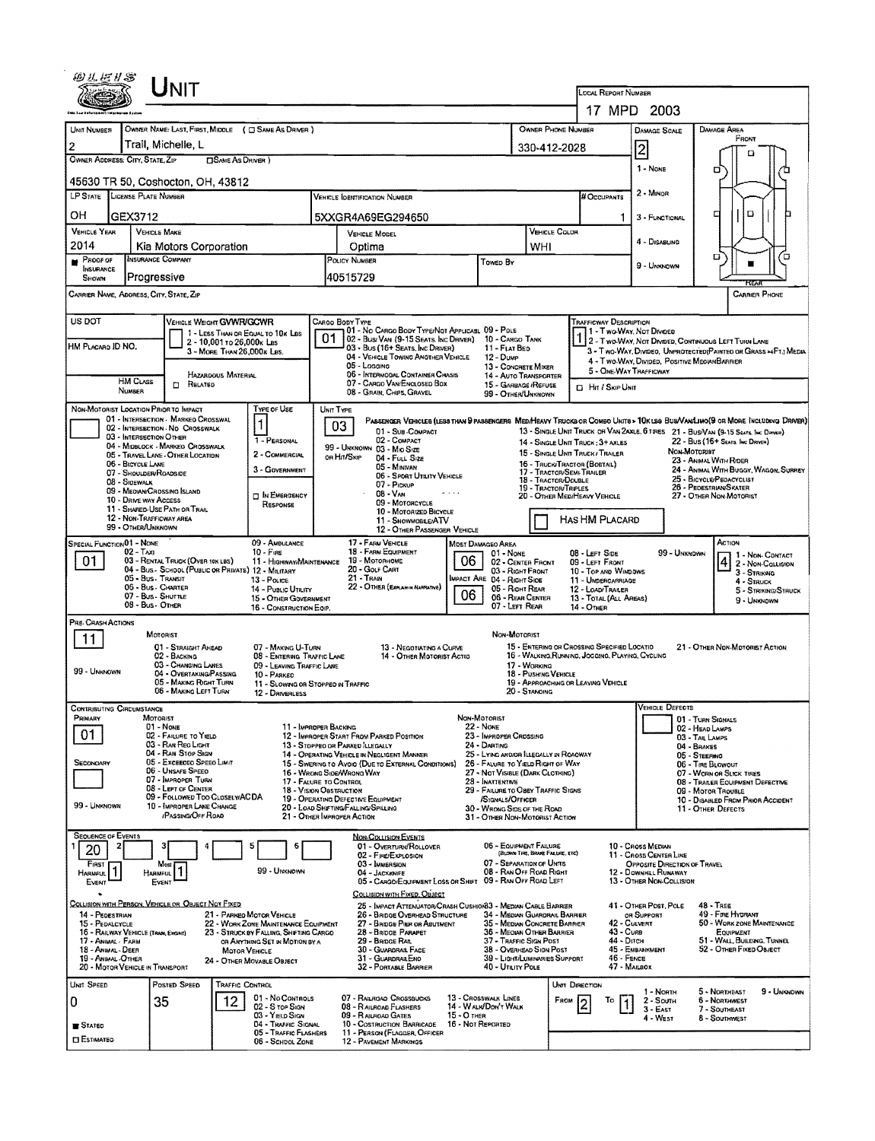| <b>NIT</b>                                                                                                                                                               |                                                                                                                                                      |                                                                                                                                                            |
|--------------------------------------------------------------------------------------------------------------------------------------------------------------------------|------------------------------------------------------------------------------------------------------------------------------------------------------|------------------------------------------------------------------------------------------------------------------------------------------------------------|
|                                                                                                                                                                          |                                                                                                                                                      | <b>LOCAL REPORT NUMBER</b><br>17 MPD 2003                                                                                                                  |
| UMIT NUMBER<br>OWNER NAME: LAST, FIRST, MIDDLE ( C SAME AS DRIVER )                                                                                                      |                                                                                                                                                      | OWNER PHONE NUMBER<br>DAMAGE AREA<br><b>DAMAGE SCALE</b>                                                                                                   |
| Trail, Michelle, L<br>2                                                                                                                                                  |                                                                                                                                                      | FRONT<br>330-412-2028                                                                                                                                      |
| OWNER ADDRESS: CITY, STATE, ZIP<br><b>OSAME AS DRIVER</b> )                                                                                                              |                                                                                                                                                      | 2<br>o<br>1 - NONE                                                                                                                                         |
| 45630 TR 50, Coshocton, OH, 43812                                                                                                                                        |                                                                                                                                                      | о                                                                                                                                                          |
| LP STATE<br>LICENSE PLATE NUMBER                                                                                                                                         | <b>VEHICLE IDENTIFICATION NUMBER</b>                                                                                                                 | 2 - MINOR<br># Occupants                                                                                                                                   |
| он<br>GEX3712                                                                                                                                                            | 5XXGR4A69EG294650                                                                                                                                    | o<br>□<br>3 - FUNCTIONAL<br>1.                                                                                                                             |
| <b>VEHICLE YEAR</b><br><b>VEHICLE MAKE</b><br>2014<br>Kia Motors Corporation                                                                                             | VEHICLE MODEL                                                                                                                                        | VEHICLE COLOR<br>4 - DISABLING                                                                                                                             |
| <b>INSURANCE COMPANY</b><br>Pacor of<br>×                                                                                                                                | Optima<br>POLICY NUMBER<br>Towen By                                                                                                                  | WHI<br>О<br>Έ<br>9 - UNKNOWN                                                                                                                               |
| <b>INSURANCE</b><br>Progressive<br>SHOWN                                                                                                                                 | 40515729                                                                                                                                             |                                                                                                                                                            |
| CARRIER NAME, ADORESS, CITY, STATE, ZIP                                                                                                                                  |                                                                                                                                                      | <b>CARRIER PHONE</b>                                                                                                                                       |
| US DOT<br><b>VEHICLE WEIGHT GVWR/GCWR</b>                                                                                                                                | CARGO BODY TYPE                                                                                                                                      | <b>TRAFFICWAY DESCRIPTION</b>                                                                                                                              |
| 1 - LESS THAN OR EQUAL TO 10K LBS<br>2 - 10,001 то 26,000к Las<br>HM PLACARO ID NO.                                                                                      | 01 - No CARGO BODY TYPE/NOT APPLICABL 09 - POLE<br>01<br>02 - Busi Van (9-15 Seats, Inc Driver)<br>03 - Bus (16+ Seats, Inc Driver)<br>11 - FLAT BED | 1 - Two-Way, Not Divideo<br>10 - CARGO TANK<br>2 - T WO-WAY, NOT DIVIDED, CONTINUOUS LEFT TURN LANE                                                        |
| 3 - MORE THAN 26,000K LBS.                                                                                                                                               | 04 - VEHICLE TOWING ANOTHER VEHICLE<br>12 - Dump<br>05 - Logging                                                                                     | 3 - Two-WAY, DIVIDEO, UNPROTECTED(PAINTEO OR GRASS >4FT.) MEDIA<br>4 - Two WAY DIVIDED, POSITIVE MEDIAN BARRIER<br>13 - CONCRETE MIXER                     |
| HAZARDOUS MATERIAL<br>HM CLASS<br>RELATED<br>n.                                                                                                                          | 06 - INTERMODAL CONTAINER CHASIS<br>07 - CARGO VAN/ENCLOSED BOX                                                                                      | 5 - ONE-WAY TRAFFICWAY<br>14 - AUTO TRANSPORTER<br>15 - GARBAGE /REFUSE<br><b>El Hit / Skip UNIT</b>                                                       |
| NUMBER                                                                                                                                                                   | 08 - GRAIN, CHIPS, GRAVEL                                                                                                                            | 99 - OTHER/UNKNOWN                                                                                                                                         |
| NON-MOTORIST LOCATION PRIOR TO IMPACT<br>TYPE OF USE<br>01 - INTERSECTION - MARKED CROSSWAL<br>1                                                                         | UNIT TYPE<br>03                                                                                                                                      | Passenger Venicles (Less than 9 passengers Med/Heavy Trucks or Combo Units > 10KLBS Bus/VanLino(9 or More Including Driver)                                |
| 02 - INTERSECTION - NO CROSSWALK<br>03 - INTERSECTION OTHER<br>1 - PERSONAL<br>04 - MIDBLOCK - MARKEG CROSSWALK                                                          | 01 - SUB-COMPACT<br>02 - COMPACT                                                                                                                     | 13 - SINGLE UNIT TRUCK OR VAN ZAXLE, 6 TIRES 21 - BUS/VAN (9-15 Seats, INC DIRWER)<br>22 - Bus (16+ Sears, Inc Driver)<br>14 - SINGLE UNIT TRUCK; 3+ AXLES |
| 2 - COMMERCIAL<br>05 - TRAVEL LANE - OTHER LOCATION<br>06 - BICYCLE LANE                                                                                                 | 99 - UNKNOWN 03 - MIO SIZE<br>OR HAYSKIP<br>04 - FULL SIZE                                                                                           | NON-MOTORIST<br>15 - SINGLE UNIT TRUCK/ TRAILER<br>23 - ANIMAL WITH RIDER<br>16 - TRUCK/TRACTOR (BOSTAIL)                                                  |
| 3 - GOVERNMENT<br>07 - SHOULDER/ROADSIDE<br>08 - SIDEWALK                                                                                                                | 05 - MINIVAN<br>06 - SPORT UTILITY VEHICLE                                                                                                           | 24 - ANIMAL WITH BUGGY, WAGON, SURREY<br>17 - TRACTOR/SEMI-TRAILER<br>25 - BICYCLE/PEDACYCLIST<br>18 - TRACTOR/DOUBLE                                      |
| 09 - MEDIAN CROSSING SLAND<br><b>D</b> IN EMERGENCY<br>10 - DRIVE WAY ACCESS                                                                                             | 07 - Pickup<br>$08 - V_{AN}$<br>09 - MOTORCYCLE                                                                                                      | 26 - Pedestrian/Skater<br><b>19 - TRACTOR/TRIPLES</b><br>20 - OTHER MEDIHEAVY VEHICLE<br>27 - OTHER NON-MOTORIST                                           |
| RESPONSE<br>11 - SHARED-USE PATH OR TRAIL<br>12 - NON-TRAFFICWAY AREA                                                                                                    | 10 - MOTORIZED BICYCLE<br>11 - SNOWMOBLE/ATV                                                                                                         | HAS HM PLACARD                                                                                                                                             |
| 99 - OTHER/UNKNOWN                                                                                                                                                       | 12 - OTHER PASSENGER VEHICLE                                                                                                                         | ACTION                                                                                                                                                     |
| SPECIAL FUNCTION <sup>01</sup> - NONE<br>09 - AMBULANCE<br>$02 - T$ AXI<br>$10 - F$ <sub>IRE</sub><br>01<br>03 - RENTAL TRUCK (OVER 10K LBS)<br>11 - HIGHWAY/MAINTENANCE | 17 - FARM VEHICLE<br><b>MOST DAMAGEO AREA</b><br>18 - FARM EQUIPMENT<br>01 - NONE<br>06<br>19 - Мотовноме                                            | 08 - LEFT SIDE<br>99 - UNKNOWN<br>1 - Non-Contact                                                                                                          |
| 04 - Bus - SCHOOL (PUBLIC OR PRIVATE) 12 - MILITARY<br>05 - Bus . TRANSIT<br>$13 - P_{OLICE}$                                                                            | 20 - GOLF CART<br>21 - Train<br>IMPACT ARE 04 - RIGHT SIDE                                                                                           | 4 2 - Non-Collision<br>02 - CENTER FRONT<br>09 - LEFT FRONT<br>03 - RIGHT FRONT<br>10 - TOP AND WINDOWS<br>3 - STRIKING<br>11 - UNDERCARRIAGE              |
| 06 - Bus - CHARTER<br>14 - PUBLIC UTILITY<br>07 - Bus - SHUTTLE<br>15 - OTHER GOVERNMENT                                                                                 | 22 - OTHER (EXPLANCIA NARRATIVE)<br>06                                                                                                               | $4 -$ Struck<br>05 - Right Rear<br>12 - LOAD/TRAILER<br>5 - STRIKING/STRUCK<br>06 - REAR CENTER<br>13 - TOTAL (ALL AREAS)                                  |
| 08 - Bus - OTHER<br>16 - CONSTRUCTION EQIP.                                                                                                                              |                                                                                                                                                      | 9 - UNKNOWN<br>07 - LEFT REAR<br>14 - Отнев                                                                                                                |
| PRE-CRASH ACTIONS<br>MOTORIST<br>11                                                                                                                                      |                                                                                                                                                      | NON-MOTORIST                                                                                                                                               |
| 01 - STRAIGHT AHEAD<br>07 - MAKING U-TURN<br>02 - BACKING<br>08 - ENTERING TRAFFIC LANE                                                                                  | 13 - NEGOTIATING A CURVE<br>14 - OTHER MOTORIST ACTIO                                                                                                | 15 - ENTERING OR CROSSING SPECIFIED LOCATIO<br>21 - OTHER NON-MOTORIST ACTION<br>16 - WALKING, RUNNING, JOGGING, PLAYING, CYCLING                          |
| 03 - CHANGING LANES<br>09 - LEAVING TRAFFIC LANE<br>99 - UNKNOWN<br>04 - OVERTAKING PASSING<br>10 - PARKED                                                               |                                                                                                                                                      | 17 - WORKING<br>18 - PUSHING VEHICLE                                                                                                                       |
| 05 - MAKING RIGHT TURN<br>06 - MAKING LEFT TURN<br>12 - DRIVERLESS                                                                                                       | 11 - Slowing or Stopped in Traffic                                                                                                                   | 19 - APPROACHING OR LEAVING VEHICLE<br>20 - STANDING                                                                                                       |
| <b>CONTRIBUTING CIRCUMSTANCE</b>                                                                                                                                         |                                                                                                                                                      | <b>VEHICLE DEFECTS</b>                                                                                                                                     |
| MOTORIST<br>PRIMARY<br>01 - NONE<br>01<br>02 - FAILURE TO YIELD                                                                                                          | NON-MOTORIST<br>22 NONE<br>11 - IMPROPER BACKING<br>23 - IMPROPER CROSSING<br>12 - IMPROPER START FROM PARKED POSITION                               | 01 - TURN SIGNALS<br>02 - HEAD LAMPS                                                                                                                       |
| 03 - RAN REO LIGHT<br>04 - RAN STOP SIGN                                                                                                                                 | 24 - DARTING<br>13 - STOPPEO OR PARKED ILLEGALLY<br>14 - OPERATING VEHICLE IN NEGLIGENT MANNER                                                       | 03 - TAIL LAMPS<br>04 - BRAKES<br>25 - LYING ANDIOR LLEGALLY IN ROADWAY                                                                                    |
| 05 - Exceeded Speed Limit<br><b>SECONDARY</b><br>06 - UNSAFE SPEED                                                                                                       | 15 - SWERING TO AVOIO (DUE TO EXTERNAL CONDITIONS)<br>16 - WRONG SIDE/WRONG WAY                                                                      | 05 - STEERING<br>26 - FALURE TO YIELD RIGHT OF WAY<br>06 - TIRE BLOWOUT<br>27 - NOT VISIBLE (DARK CLOTHING)<br>07 - WORN OR SLICK TURES                    |
| 07 - Improper Turn<br>08 - LEFT OF CENTER                                                                                                                                | 28 - INATTENTIVE<br>17 - FALURE TO CONTROL<br>18 - VISION OBSTRUCTION                                                                                | 08 - TRAILER EQUIPMENT DEFECTIVE<br>29 - FAILURE TO OBEY TRAFFIC SIGNS<br>09 - Motor Trovale                                                               |
| 09 - FOLLOWED TOO CLOSELY/ACDA<br>99 - Unknown<br>10 - IMPROPER LANE CHANGE                                                                                              | 19 - OPERATING DEFECTIVE EQUIPMENT<br>/SIGNALS/OFFICER<br>20 - LOAD SHIFTING/FALLING/SPILLING                                                        | 10 - DISABLED FROM PRIOR ACCIDENT<br>30 - WRONG SIDE OF THE ROAD<br>11 - OTHER DEFECTS                                                                     |
| (PASSING/OFF ROAD                                                                                                                                                        | 21 - OTHER IMPROPER ACTION                                                                                                                           | 31 - OTHER NON-MOTORIST ACTION                                                                                                                             |
| <b>SEQUENCE OF EVENTS</b><br>6<br>20                                                                                                                                     | <b>NON-COLLISION EVENTS</b><br>01 - OVERTURN/ROLLOVER                                                                                                | 06 - EQUIPMENT FAILURE<br>10 - Cross Median                                                                                                                |
| FIRST I<br>Most                                                                                                                                                          | 02 - FIRE/EXPLOSION<br>03 - IMMERSION                                                                                                                | (BLOWN TIRE, BRANE FAILURE, ETC)<br>11 - CROSS CENTER LINE<br>07 - SEPARATION OF UNITS<br>OPPOSITE DIRECTION OF TRAVEL                                     |
| HARMFUL <sup>1</sup><br>99 - UNKNOWN<br>HARMFUL<br>EVENT<br>EVENT                                                                                                        | 04 - JACKKNIFE<br>05 - CARGO/EQUIPMENT LOSS OR SHIFT 09 - RAN OFF ROAD LEFT                                                                          | 08 - RAN OFF ROAD RIGHT<br>12 - DOWNHEL RUNAWAY<br>13 - OTHER NON-COLLISION                                                                                |
| COLLISION WITH PERSON, VEHICLE OR OBJECT NOT FIXED                                                                                                                       | COLLISION WITH FIXED, OBJECT<br>25 - IMPACT ATTENUATOR/CRASH CUSHION33 - MEDIAN CABLE BARRIER                                                        | 41 - OTHER POST, POLE<br>$48 - \text{TREE}$                                                                                                                |
| 14 - PEDESTRIAN<br>21 - PARKEO MOTOR VEHICLE<br>15 - PEDALCYCLE<br>22 - WORK ZONE MAINTENANCE EQUIPMENT                                                                  | 26 - BRIDGE OVERHEAD STRUCTURE<br>27 - BRIDGE PIER OR ASUTMENT                                                                                       | 49 - FIRE HYDRANT<br>34 - MEDIAN GUARDRAIL BARRIER<br>OR SUPPORT<br>42 - CULVERT<br>50 - WORK ZONE MAINTENANCE<br>35 - MEDIAN CONCRETE BARRIER             |
| 16 - RAILWAY VEHICLE (TRAN, ENGINE)<br>23 - STRUCK BY FALLING, SHIFTING CARGO<br>17 - ANIMAL - FARM<br>OR ANYTHING SET IN MOTION BY A                                    | 28 - BRIDGE PARAPET<br>29 - BRIDGE RAIL                                                                                                              | 43 - Cuna<br>36 - MEOIAN OTHER BARRIER<br>Equipment<br>44 - Олсн<br>51 - WALL, BUILDING, TUNNEL<br>37 - TRAFFIC SIGN POST                                  |
| 18 - ANNAL - DEER<br><b>MOTOR VEHICLE</b><br>19 - Animal - Other<br>24 - Отнея Моудаце Овлест                                                                            | 30 - GUARDRAIL FACE<br>31 - GUARDRAILENO                                                                                                             | 38 - OVERHEAD SIGN POST<br>45 - EMBANKMENT<br>52 - OTHER FIXED OBJECT<br>39 - LIGHT/LUMINARIES SUPPORT<br>46 - FENCE                                       |
| 20 - MOTOR VEHICLE IN TRANSPORT<br>POSTED SPEED<br>UNIT SPEED<br><b>TRAFFIC CONTROL</b>                                                                                  | 32 - PORTABLE BARRIER                                                                                                                                | 40 - UTILITY POLE<br>47 - MAILBOX<br>UNIT DIRECTION                                                                                                        |
| 01 - No CONTROLS<br>12<br>35<br>O                                                                                                                                        | 07 - RAILROAD CROSSBUCKS<br>13 - CROSSWALK LINES                                                                                                     | 5 - NORTHEAST<br>1 - NORTH<br>9 - UNKNOWN<br>2 - South<br><b>6 - NORTHWEST</b><br><b><i><u>Еном</u></i></b><br>То                                          |
| 02 - S TOP SIGN<br>03 - YIELD SIGN                                                                                                                                       | 14 - WALK/DON'T WALK<br>08 - RAILROAD FLASHERS<br>$15 - O$ THER<br>09 - R ALADAO GATES                                                               | $3 - E$ AST<br>7 - SOUTHEAST<br>4 - WEST<br>8 - Southwest                                                                                                  |
| 04 - TRAFFIC SIGNAL<br><b>S</b> TATED<br>05 - TRAFFIC FLASHERS<br><b>ESTIMATED</b><br>06 - SCHOOL ZONE                                                                   | 10 - COSTRUCTION BARRICADE<br>16 - Not Reported<br>11 - PERSON (FLAGGER, OFFICER<br><b>12 - PAVEMENT MARKINGS</b>                                    |                                                                                                                                                            |
|                                                                                                                                                                          |                                                                                                                                                      |                                                                                                                                                            |